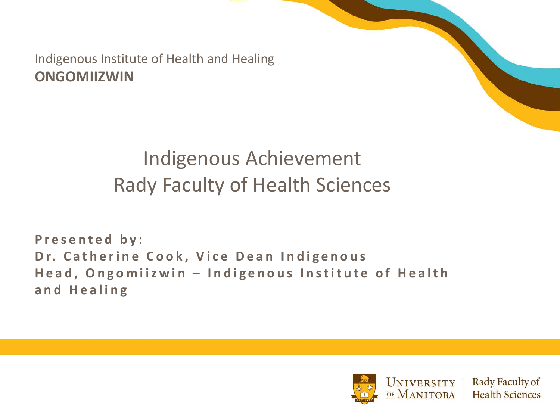Indigenous Institute of Health and Healing **ONGOMIIZWIN** 

#### Indigenous Achievement Rady Faculty of Health Sciences

**Presented by: Dr. Catherine Cook, Vice Dean Indigenous Head, Ongomiizwin – Indigenous Institute of Health and Healing** 

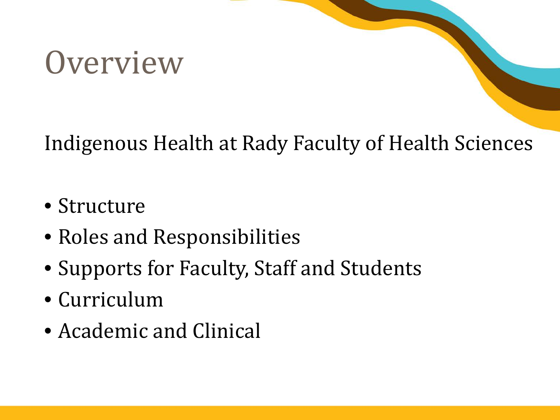# **Overview**

#### Indigenous Health at Rady Faculty of Health Sciences

- Structure
- Roles and Responsibilities
- Supports for Faculty, Staff and Students
- Curriculum
- Academic and Clinical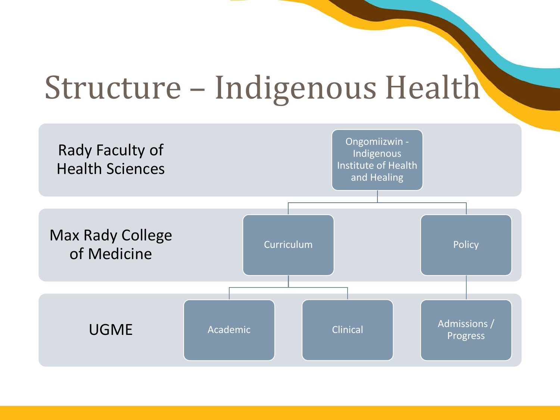# Structure – Indigenous Health

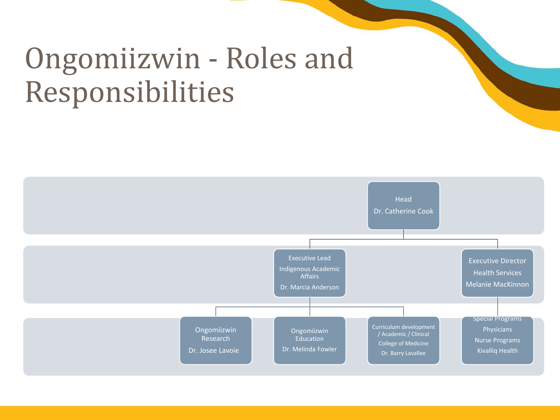## Ongomiizwin - Roles and Responsibilities

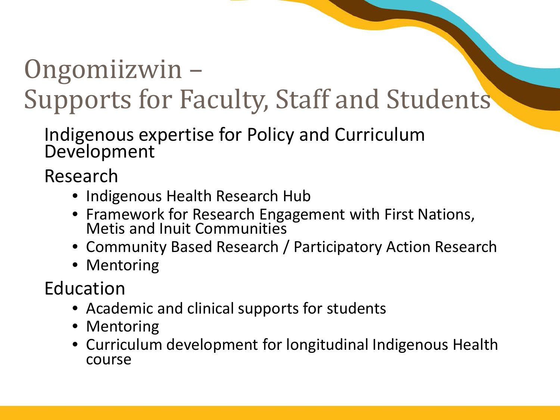# Ongomiizwin –

## Supports for Faculty, Staff and Students

Indigenous expertise for Policy and Curriculum Development

Research

- Indigenous Health Research Hub
- Framework for Research Engagement with First Nations, Metis and Inuit Communities
- Community Based Research / Participatory Action Research
- Mentoring

Education

- Academic and clinical supports for students
- Mentoring
- Curriculum development for longitudinal Indigenous Health course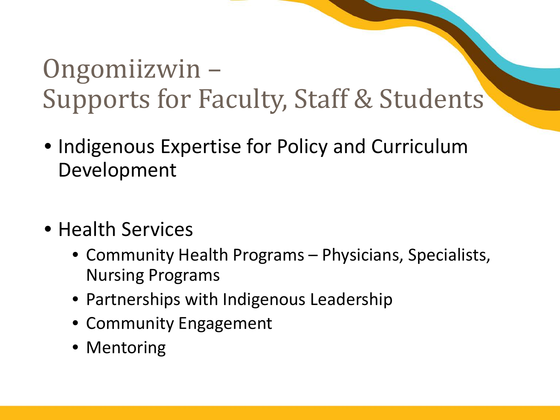## Ongomiizwin – Supports for Faculty, Staff & Students

- Indigenous Expertise for Policy and Curriculum Development
- Health Services
	- Community Health Programs Physicians, Specialists, Nursing Programs
	- Partnerships with Indigenous Leadership
	- Community Engagement
	- Mentoring